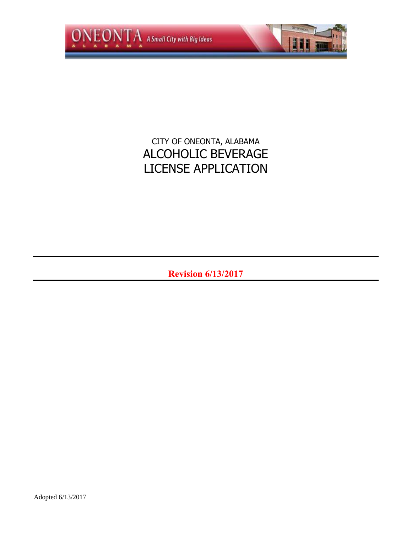

# CITY OF ONEONTA, ALABAMA ALCOHOLIC BEVERAGE LICENSE APPLICATION

**Revision 6/13/2017**

Adopted 6/13/2017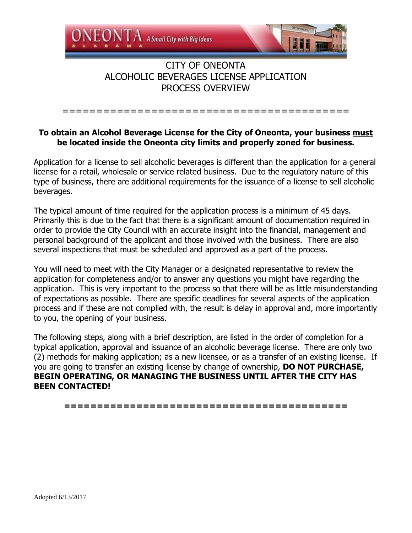

### **To obtain an Alcohol Beverage License for the City of Oneonta, your business must be located inside the Oneonta city limits and properly zoned for business.**

==========================================

Application for a license to sell alcoholic beverages is different than the application for a general license for a retail, wholesale or service related business. Due to the regulatory nature of this type of business, there are additional requirements for the issuance of a license to sell alcoholic beverages.

The typical amount of time required for the application process is a minimum of 45 days. Primarily this is due to the fact that there is a significant amount of documentation required in order to provide the City Council with an accurate insight into the financial, management and personal background of the applicant and those involved with the business. There are also several inspections that must be scheduled and approved as a part of the process.

You will need to meet with the City Manager or a designated representative to review the application for completeness and/or to answer any questions you might have regarding the application. This is very important to the process so that there will be as little misunderstanding of expectations as possible. There are specific deadlines for several aspects of the application process and if these are not complied with, the result is delay in approval and, more importantly to you, the opening of your business.

The following steps, along with a brief description, are listed in the order of completion for a typical application, approval and issuance of an alcoholic beverage license. There are only two (2) methods for making application; as a new licensee, or as a transfer of an existing license. If you are going to transfer an existing license by change of ownership, **DO NOT PURCHASE, BEGIN OPERATING, OR MANAGING THE BUSINESS UNTIL AFTER THE CITY HAS BEEN CONTACTED!**

**===========================================**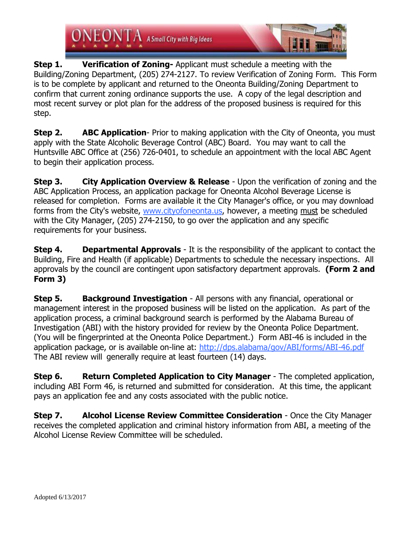

**Step 1. Verification of Zoning-** Applicant must schedule a meeting with the Building/Zoning Department, (205) 274-2127. To review Verification of Zoning Form. This Form is to be complete by applicant and returned to the Oneonta Building/Zoning Department to confirm that current zoning ordinance supports the use. A copy of the legal description and most recent survey or plot plan for the address of the proposed business is required for this step.

**Step 2. ABC Application**- Prior to making application with the City of Oneonta, you must apply with the State Alcoholic Beverage Control (ABC) Board. You may want to call the Huntsville ABC Office at (256) 726-0401, to schedule an appointment with the local ABC Agent to begin their application process.

**Step 3. City Application Overview & Release** - Upon the verification of zoning and the ABC Application Process, an application package for Oneonta Alcohol Beverage License is released for completion. Forms are available it the City Manager's office, or you may download forms from the City's website, www.cityofoneonta.us, however, a meeting must be scheduled with the City Manager, (205) 274-2150, to go over the application and any specific requirements for your business.

**Step 4. Departmental Approvals** - It is the responsibility of the applicant to contact the Building, Fire and Health (if applicable) Departments to schedule the necessary inspections. All approvals by the council are contingent upon satisfactory department approvals. **(Form 2 and Form 3)**

**Step 5. Background Investigation** - All persons with any financial, operational or management interest in the proposed business will be listed on the application. As part of the application process, a criminal background search is performed by the Alabama Bureau of Investigation (ABI) with the history provided for review by the Oneonta Police Department. (You will be fingerprinted at the Oneonta Police Department.) Form ABI-46 is included in the application package, or is available on-line at: http://dps.alabama/gov/ABI/forms/ABI-46.pdf The ABI review will generally require at least fourteen (14) days.

**Step 6. Return Completed Application to City Manager** - The completed application, including ABI Form 46, is returned and submitted for consideration. At this time, the applicant pays an application fee and any costs associated with the public notice.

**Step 7. Alcohol License Review Committee Consideration - Once the City Manager** receives the completed application and criminal history information from ABI, a meeting of the Alcohol License Review Committee will be scheduled.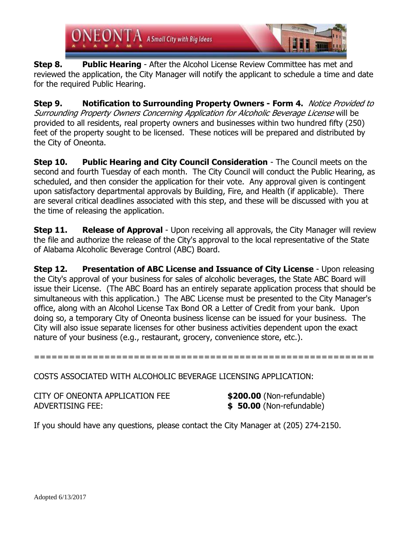$EONTA$  A Small City with Big Ideas

**Step 8. Public Hearing** - After the Alcohol License Review Committee has met and reviewed the application, the City Manager will notify the applicant to schedule a time and date for the required Public Hearing.

**Step 9. Notification to Surrounding Property Owners - Form 4.** Notice Provided to Surrounding Property Owners Concerning Application for Alcoholic Beverage License will be provided to all residents, real property owners and businesses within two hundred fifty (250) feet of the property sought to be licensed. These notices will be prepared and distributed by the City of Oneonta.

**Step 10. Public Hearing and City Council Consideration** - The Council meets on the second and fourth Tuesday of each month. The City Council will conduct the Public Hearing, as scheduled, and then consider the application for their vote. Any approval given is contingent upon satisfactory departmental approvals by Building, Fire, and Health (if applicable). There are several critical deadlines associated with this step, and these will be discussed with you at the time of releasing the application.

**Step 11. Release of Approval** - Upon receiving all approvals, the City Manager will review the file and authorize the release of the City's approval to the local representative of the State of Alabama Alcoholic Beverage Control (ABC) Board.

**Step 12. Presentation of ABC License and Issuance of City License** - Upon releasing the City's approval of your business for sales of alcoholic beverages, the State ABC Board will issue their License. (The ABC Board has an entirely separate application process that should be simultaneous with this application.) The ABC License must be presented to the City Manager's office, along with an Alcohol License Tax Bond OR a Letter of Credit from your bank. Upon doing so, a temporary City of Oneonta business license can be issued for your business. The City will also issue separate licenses for other business activities dependent upon the exact nature of your business (e.g., restaurant, grocery, convenience store, etc.).

==========================================================

COSTS ASSOCIATED WITH ALCOHOLIC BEVERAGE LICENSING APPLICATION:

| CITY OF ONEONTA APPLICATION FEE | \$200.00 (Non-refundable) |
|---------------------------------|---------------------------|
| ADVERTISING FEE:                | \$ 50.00 (Non-refundable) |

If you should have any questions, please contact the City Manager at (205) 274-2150.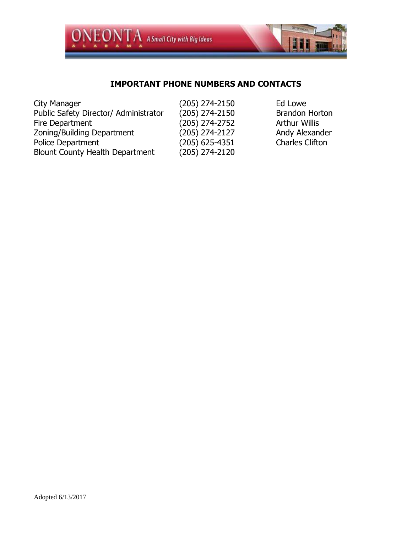

## **IMPORTANT PHONE NUMBERS AND CONTACTS**

| City Manager                           | (205) 274-2150   | Ed Lowe                |
|----------------------------------------|------------------|------------------------|
| Public Safety Director/ Administrator  | $(205)$ 274-2150 | <b>Brandon Horton</b>  |
| Fire Department                        | $(205)$ 274-2752 | <b>Arthur Willis</b>   |
| Zoning/Building Department             | $(205)$ 274-2127 | Andy Alexander         |
| Police Department                      | $(205)$ 625-4351 | <b>Charles Clifton</b> |
| <b>Blount County Health Department</b> | $(205)$ 274-2120 |                        |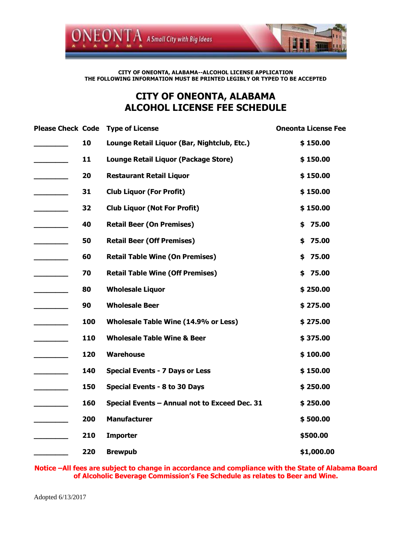

#### **CITY OF ONEONTA, ALABAMA--ALCOHOL LICENSE APPLICATION THE FOLLOWING INFORMATION MUST BE PRINTED LEGIBLY OR TYPED TO BE ACCEPTED**

## **CITY OF ONEONTA, ALABAMA ALCOHOL LICENSE FEE SCHEDULE**

| <b>Please Check Code</b>     |     | <b>Type of License</b>                        | <b>Oneonta License Fee</b> |
|------------------------------|-----|-----------------------------------------------|----------------------------|
|                              | 10  | Lounge Retail Liquor (Bar, Nightclub, Etc.)   | \$150.00                   |
|                              | 11  | Lounge Retail Liquor (Package Store)          | \$150.00                   |
|                              | 20  | <b>Restaurant Retail Liquor</b>               | \$150.00                   |
|                              | 31  | <b>Club Liquor (For Profit)</b>               | \$150.00                   |
| $\overline{\phantom{a}}$     | 32  | <b>Club Liquor (Not For Profit)</b>           | \$150.00                   |
| $\overline{\phantom{a}}$     | 40  | <b>Retail Beer (On Premises)</b>              | \$75.00                    |
|                              | 50  | <b>Retail Beer (Off Premises)</b>             | 75.00<br>\$                |
|                              | 60  | <b>Retail Table Wine (On Premises)</b>        | 75.00<br>\$                |
|                              | 70  | <b>Retail Table Wine (Off Premises)</b>       | \$75.00                    |
|                              | 80  | <b>Wholesale Liquor</b>                       | \$250.00                   |
| <u> Liberatura de la pro</u> | 90  | <b>Wholesale Beer</b>                         | \$275.00                   |
|                              | 100 | Wholesale Table Wine (14.9% or Less)          | \$275.00                   |
|                              | 110 | <b>Wholesale Table Wine &amp; Beer</b>        | \$375.00                   |
|                              | 120 | <b>Warehouse</b>                              | \$100.00                   |
|                              | 140 | <b>Special Events - 7 Days or Less</b>        | \$150.00                   |
|                              | 150 | Special Events - 8 to 30 Days                 | \$250.00                   |
|                              | 160 | Special Events - Annual not to Exceed Dec. 31 | \$250.00                   |
|                              | 200 | <b>Manufacturer</b>                           | \$500.00                   |
|                              | 210 | <b>Importer</b>                               | \$500.00                   |
|                              | 220 | <b>Brewpub</b>                                | \$1,000.00                 |

**Notice –All fees are subject to change in accordance and compliance with the State of Alabama Board of Alcoholic Beverage Commission's Fee Schedule as relates to Beer and Wine.**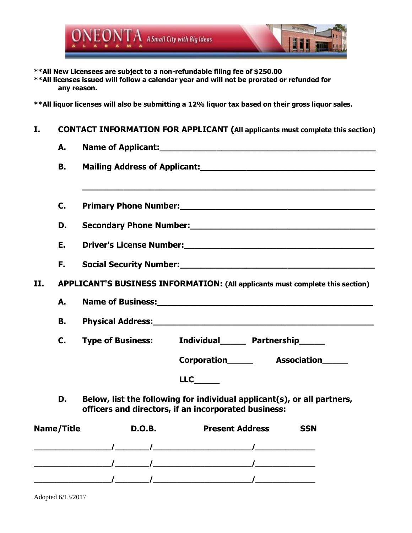

**\*\*All New Licensees are subject to a non-refundable filing fee of \$250.00**

**\*\*All licenses issued will follow a calendar year and will not be prorated or refunded for any reason.**

**\*\*All liquor licenses will also be submitting a 12% liquor tax based on their gross liquor sales.**

### **I. CONTACT INFORMATION FOR APPLICANT (All applicants must complete this section)**

|     | А.                |               | Name of Applicant: Name of Applicant and Applicant and Applicant and Applicant and Applicant and Applicant and Applicant and Applicant and Applicant and Applicant and Applicant and Applicant and Applicant and Applicant and                                                                                                                                                                                                                                                                             |            |
|-----|-------------------|---------------|------------------------------------------------------------------------------------------------------------------------------------------------------------------------------------------------------------------------------------------------------------------------------------------------------------------------------------------------------------------------------------------------------------------------------------------------------------------------------------------------------------|------------|
|     | В.                |               | Mailing Address of Applicant: Mail Address of Applicant:                                                                                                                                                                                                                                                                                                                                                                                                                                                   |            |
|     |                   |               |                                                                                                                                                                                                                                                                                                                                                                                                                                                                                                            |            |
|     | C.                |               | Primary Phone Number: Manual Assembly Primary Phone Number:                                                                                                                                                                                                                                                                                                                                                                                                                                                |            |
|     | D.                |               | Secondary Phone Number:<br>Secondary Phone Number:                                                                                                                                                                                                                                                                                                                                                                                                                                                         |            |
|     | Ε.                |               |                                                                                                                                                                                                                                                                                                                                                                                                                                                                                                            |            |
|     | F.                |               | Social Security Number: Social Security Number:                                                                                                                                                                                                                                                                                                                                                                                                                                                            |            |
| II. |                   |               | APPLICANT'S BUSINESS INFORMATION: (All applicants must complete this section)                                                                                                                                                                                                                                                                                                                                                                                                                              |            |
|     |                   |               |                                                                                                                                                                                                                                                                                                                                                                                                                                                                                                            |            |
|     | А.                |               |                                                                                                                                                                                                                                                                                                                                                                                                                                                                                                            |            |
|     | <b>B.</b>         |               |                                                                                                                                                                                                                                                                                                                                                                                                                                                                                                            |            |
|     | C.                |               | Type of Business: Individual Partnership                                                                                                                                                                                                                                                                                                                                                                                                                                                                   |            |
|     |                   |               | Corporation Association                                                                                                                                                                                                                                                                                                                                                                                                                                                                                    |            |
|     |                   |               | LLC                                                                                                                                                                                                                                                                                                                                                                                                                                                                                                        |            |
|     | D.                |               | Below, list the following for individual applicant(s), or all partners,<br>officers and directors, if an incorporated business:                                                                                                                                                                                                                                                                                                                                                                            |            |
|     | <b>Name/Title</b> | <b>D.O.B.</b> | <b>Present Address</b>                                                                                                                                                                                                                                                                                                                                                                                                                                                                                     | <b>SSN</b> |
|     |                   |               | $\sqrt{2\pi i^2\left(\frac{1}{2}\right)^2+\left(\frac{1}{2}\right)^2+\left(\frac{1}{2}\right)^2+\left(\frac{1}{2}\right)^2+\left(\frac{1}{2}\right)^2+\left(\frac{1}{2}\right)^2+\left(\frac{1}{2}\right)^2+\left(\frac{1}{2}\right)^2+\left(\frac{1}{2}\right)^2+\left(\frac{1}{2}\right)^2+\left(\frac{1}{2}\right)^2+\left(\frac{1}{2}\right)^2+\left(\frac{1}{2}\right)^2+\left(\frac{1}{2}\right)^2+\left(\frac{1}{2}\right)^2+\left(\frac{1}{2}\right)^2+\left(\frac{1}{2}\right)^2+\left(\frac{1}{$ |            |
|     |                   |               |                                                                                                                                                                                                                                                                                                                                                                                                                                                                                                            |            |
|     |                   |               |                                                                                                                                                                                                                                                                                                                                                                                                                                                                                                            |            |

**\_\_\_\_\_\_\_\_\_\_\_\_\_\_\_\_\_\_/\_\_\_\_\_\_\_\_/\_\_\_\_\_\_\_\_\_\_\_\_\_\_\_\_\_\_\_\_\_\_\_/\_\_\_\_\_\_\_\_\_\_\_\_\_\_**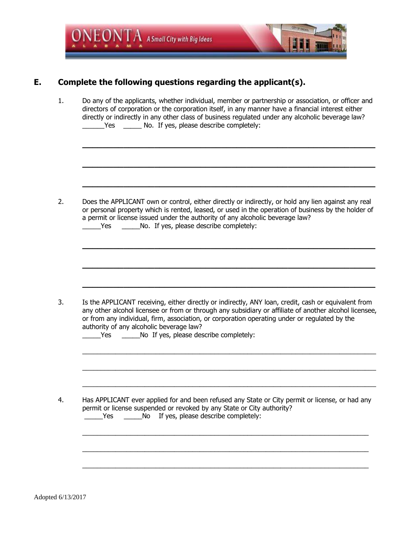

## **E. Complete the following questions regarding the applicant(s).**

1. Do any of the applicants, whether individual, member or partnership or association, or officer and directors of corporation or the corporation itself, in any manner have a financial interest either directly or indirectly in any other class of business regulated under any alcoholic beverage law? \_\_\_\_\_\_Yes \_\_\_\_\_ No. If yes, please describe completely:

**\_\_\_\_\_\_\_\_\_\_\_\_\_\_\_\_\_\_\_\_\_\_\_\_\_\_\_\_\_\_\_\_\_\_\_\_\_\_\_\_\_\_\_\_\_\_\_\_\_\_\_\_\_\_\_\_\_**

**\_\_\_\_\_\_\_\_\_\_\_\_\_\_\_\_\_\_\_\_\_\_\_\_\_\_\_\_\_\_\_\_\_\_\_\_\_\_\_\_\_\_\_\_\_\_\_\_\_\_\_\_\_\_\_\_\_**

**\_\_\_\_\_\_\_\_\_\_\_\_\_\_\_\_\_\_\_\_\_\_\_\_\_\_\_\_\_\_\_\_\_\_\_\_\_\_\_\_\_\_\_\_\_\_\_\_\_\_\_\_\_\_\_\_\_**

- 2. Does the APPLICANT own or control, either directly or indirectly, or hold any lien against any real or personal property which is rented, leased, or used in the operation of business by the holder of a permit or license issued under the authority of any alcoholic beverage law? Yes \_\_\_\_\_\_\_\_No. If yes, please describe completely: **\_\_\_\_\_\_\_\_\_\_\_\_\_\_\_\_\_\_\_\_\_\_\_\_\_\_\_\_\_\_\_\_\_\_\_\_\_\_\_\_\_\_\_\_\_\_\_\_\_\_\_\_\_\_\_\_\_ \_\_\_\_\_\_\_\_\_\_\_\_\_\_\_\_\_\_\_\_\_\_\_\_\_\_\_\_\_\_\_\_\_\_\_\_\_\_\_\_\_\_\_\_\_\_\_\_\_\_\_\_\_\_\_\_\_**
- 3. Is the APPLICANT receiving, either directly or indirectly, ANY loan, credit, cash or equivalent from any other alcohol licensee or from or through any subsidiary or affiliate of another alcohol licensee, or from any individual, firm, association, or corporation operating under or regulated by the authority of any alcoholic beverage law?

**\_\_\_\_\_\_\_\_\_\_\_\_\_\_\_\_\_\_\_\_\_\_\_\_\_\_\_\_\_\_\_\_\_\_\_\_\_\_\_\_\_\_\_\_\_\_\_\_\_\_\_\_\_\_\_\_\_**

 $\_$  , and the set of the set of the set of the set of the set of the set of the set of the set of the set of the set of the set of the set of the set of the set of the set of the set of the set of the set of the set of th

 $\_$  , and the set of the set of the set of the set of the set of the set of the set of the set of the set of the set of the set of the set of the set of the set of the set of the set of the set of the set of the set of th

 $\_$  , and the set of the set of the set of the set of the set of the set of the set of the set of the set of the set of the set of the set of the set of the set of the set of the set of the set of the set of the set of th

 $\_$  , and the set of the set of the set of the set of the set of the set of the set of the set of the set of the set of the set of the set of the set of the set of the set of the set of the set of the set of the set of th

 $\_$  , and the set of the set of the set of the set of the set of the set of the set of the set of the set of the set of the set of the set of the set of the set of the set of the set of the set of the set of the set of th

 $\_$  , and the set of the set of the set of the set of the set of the set of the set of the set of the set of the set of the set of the set of the set of the set of the set of the set of the set of the set of the set of th

| Yes |  |  |  | No If yes, please describe completely: |
|-----|--|--|--|----------------------------------------|
|-----|--|--|--|----------------------------------------|

4. Has APPLICANT ever applied for and been refused any State or City permit or license, or had any permit or license suspended or revoked by any State or City authority? \_\_\_\_\_Yes \_\_\_\_\_No If yes, please describe completely: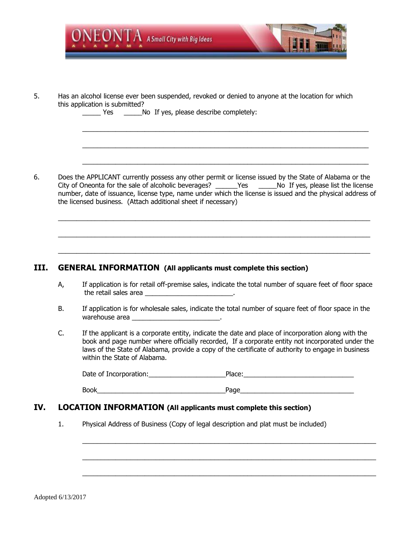

5. Has an alcohol license ever been suspended, revoked or denied to anyone at the location for which this application is submitted?

Yes Mo If yes, please describe completely:

6. Does the APPLICANT currently possess any other permit or license issued by the State of Alabama or the City of Oneonta for the sale of alcoholic beverages? \_\_\_\_\_\_Yes \_\_\_\_\_\_No If yes, please list the license number, date of issuance, license type, name under which the license is issued and the physical address of the licensed business. (Attach additional sheet if necessary)

 $\_$  , and the set of the set of the set of the set of the set of the set of the set of the set of the set of the set of the set of the set of the set of the set of the set of the set of the set of the set of the set of th

 $\_$  , and the state of the state of the state of the state of the state of the state of the state of the state of the state of the state of the state of the state of the state of the state of the state of the state of the

 $\_$  , and the state of the state of the state of the state of the state of the state of the state of the state of the state of the state of the state of the state of the state of the state of the state of the state of the

 $\_$  , and the set of the set of the set of the set of the set of the set of the set of the set of the set of the set of the set of the set of the set of the set of the set of the set of the set of the set of the set of th

 $\_$  , and the set of the set of the set of the set of the set of the set of the set of the set of the set of the set of the set of the set of the set of the set of the set of the set of the set of the set of the set of th

 $\_$  , and the set of the set of the set of the set of the set of the set of the set of the set of the set of the set of the set of the set of the set of the set of the set of the set of the set of the set of the set of th

#### **III. GENERAL INFORMATION (All applicants must complete this section)**

- A, If application is for retail off-premise sales, indicate the total number of square feet of floor space the retail sales area \_\_\_\_\_\_\_\_\_\_\_\_\_\_\_\_\_\_\_\_\_\_\_\_.
- B. If application is for wholesale sales, indicate the total number of square feet of floor space in the warehouse area **warehouse** area
- C. If the applicant is a corporate entity, indicate the date and place of incorporation along with the book and page number where officially recorded, If a corporate entity not incorporated under the laws of the State of Alabama, provide a copy of the certificate of authority to engage in business within the State of Alabama.

| Date of Incorporation: | Place: |
|------------------------|--------|
|                        |        |

 $\_$  , and the set of the set of the set of the set of the set of the set of the set of the set of the set of the set of the set of the set of the set of the set of the set of the set of the set of the set of the set of th

 $\_$  , and the set of the set of the set of the set of the set of the set of the set of the set of the set of the set of the set of the set of the set of the set of the set of the set of the set of the set of the set of th

 $\_$  , and the set of the set of the set of the set of the set of the set of the set of the set of the set of the set of the set of the set of the set of the set of the set of the set of the set of the set of the set of th

| - -<br>١k<br>. .<br>и<br>ור<br>-<br>--<br>$\cdot$ |
|---------------------------------------------------|
|---------------------------------------------------|

#### **IV. LOCATION INFORMATION (All applicants must complete this section)**

1. Physical Address of Business (Copy of legal description and plat must be included)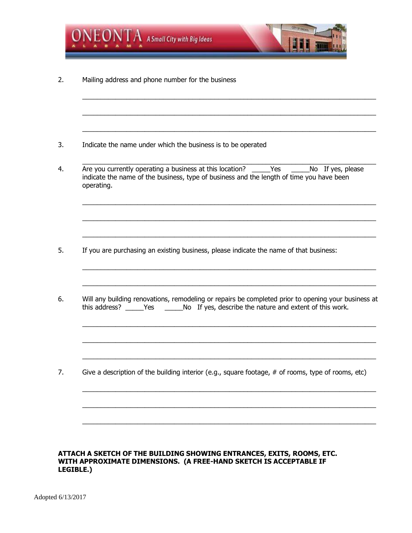

#### **ATTACH A SKETCH OF THE BUILDING SHOWING ENTRANCES, EXITS, ROOMS, ETC. WITH APPROXIMATE DIMENSIONS. (A FREE-HAND SKETCH IS ACCEPTABLE IF LEGIBLE.)**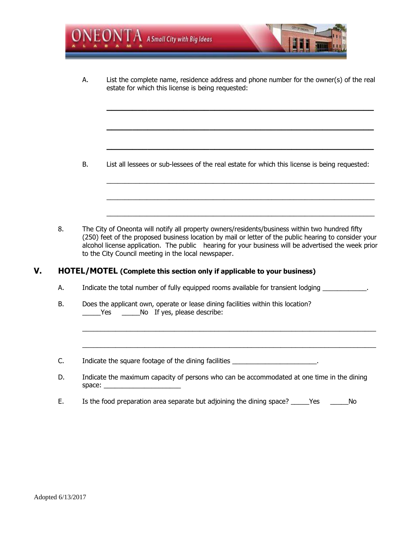

A. List the complete name, residence address and phone number for the owner(s) of the real estate for which this license is being requested:

**\_\_\_\_\_\_\_\_\_\_\_\_\_\_\_\_\_\_\_\_\_\_\_\_\_\_\_\_\_\_\_\_\_\_\_\_\_\_\_\_\_\_\_\_\_\_\_\_\_\_\_\_**

**\_\_\_\_\_\_\_\_\_\_\_\_\_\_\_\_\_\_\_\_\_\_\_\_\_\_\_\_\_\_\_\_\_\_\_\_\_\_\_\_\_\_\_\_\_\_\_\_\_\_\_\_**

**\_\_\_\_\_\_\_\_\_\_\_\_\_\_\_\_\_\_\_\_\_\_\_\_\_\_\_\_\_\_\_\_\_\_\_\_\_\_\_\_\_\_\_\_\_\_\_\_\_\_\_\_**

 $\_$  , and the set of the set of the set of the set of the set of the set of the set of the set of the set of the set of the set of the set of the set of the set of the set of the set of the set of the set of the set of th

 $\_$  , and the set of the set of the set of the set of the set of the set of the set of the set of the set of the set of the set of the set of the set of the set of the set of the set of the set of the set of the set of th

 $\_$  , and the set of the set of the set of the set of the set of the set of the set of the set of the set of the set of the set of the set of the set of the set of the set of the set of the set of the set of the set of th

B. List all lessees or sub-lessees of the real estate for which this license is being requested:

8. The City of Oneonta will notify all property owners/residents/business within two hundred fifty (250) feet of the proposed business location by mail or letter of the public hearing to consider your alcohol license application. The public hearing for your business will be advertised the week prior to the City Council meeting in the local newspaper.

#### **V. HOTEL/MOTEL (Complete this section only if applicable to your business)**

- A. Indicate the total number of fully equipped rooms available for transient lodging \_\_\_\_\_\_\_\_\_\_\_\_.
- B. Does the applicant own, operate or lease dining facilities within this location? Yes Mo If yes, please describe:
- C. Indicate the square footage of the dining facilities \_\_\_\_\_\_\_\_\_\_\_\_\_\_\_\_\_\_\_\_\_\_\_\_.
- D. Indicate the maximum capacity of persons who can be accommodated at one time in the dining space: \_\_\_\_\_\_\_\_\_\_\_\_\_\_\_\_\_\_\_\_\_

 $\_$  , and the set of the set of the set of the set of the set of the set of the set of the set of the set of the set of the set of the set of the set of the set of the set of the set of the set of the set of the set of th

E. Is the food preparation area separate but adjoining the dining space? \_\_\_\_\_Yes \_\_\_\_\_\_No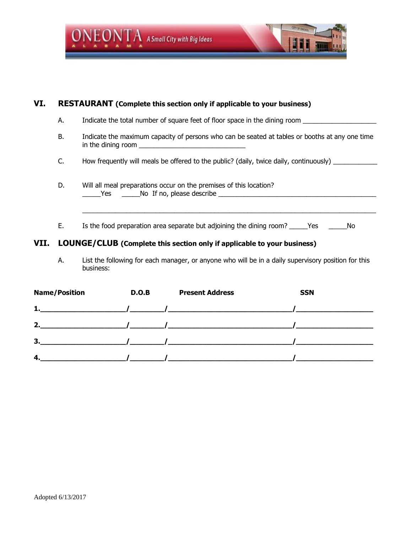

| VI.  | <b>RESTAURANT</b> (Complete this section only if applicable to your business) |                                                                                                                                 |  |  |
|------|-------------------------------------------------------------------------------|---------------------------------------------------------------------------------------------------------------------------------|--|--|
|      | А.                                                                            | Indicate the total number of square feet of floor space in the dining room                                                      |  |  |
|      | В.                                                                            | Indicate the maximum capacity of persons who can be seated at tables or booths at any one time<br>in the dining room $\sqrt{2}$ |  |  |
|      | C.                                                                            | How frequently will meals be offered to the public? (daily, twice daily, continuously)                                          |  |  |
|      | D.                                                                            | Will all meal preparations occur on the premises of this location?<br>Yes No If no, please describe                             |  |  |
|      | Е.                                                                            | Is the food preparation area separate but adjoining the dining room? _______Yes<br>No.                                          |  |  |
| VII. |                                                                               | LOUNGE/CLUB (Complete this section only if applicable to your business)                                                         |  |  |

A. List the following for each manager, or anyone who will be in a daily supervisory position for this business:

| <b>Name/Position</b>                               | D.O.B | <b>Present Address</b>                                                                                                                                                                                                                                                                                                             | <b>SSN</b> |
|----------------------------------------------------|-------|------------------------------------------------------------------------------------------------------------------------------------------------------------------------------------------------------------------------------------------------------------------------------------------------------------------------------------|------------|
| 1.<br>the control of the control of the control of |       |                                                                                                                                                                                                                                                                                                                                    |            |
| 2.                                                 |       |                                                                                                                                                                                                                                                                                                                                    |            |
| 3.                                                 |       | $\overline{a}$ and $\overline{a}$ and $\overline{a}$ and $\overline{a}$ and $\overline{a}$ and $\overline{a}$ and $\overline{a}$ and $\overline{a}$ and $\overline{a}$ and $\overline{a}$ and $\overline{a}$ and $\overline{a}$ and $\overline{a}$ and $\overline{a}$ and $\overline{a}$ and $\overline{a}$ and $\overline{a}$ and |            |
| 4.                                                 |       |                                                                                                                                                                                                                                                                                                                                    |            |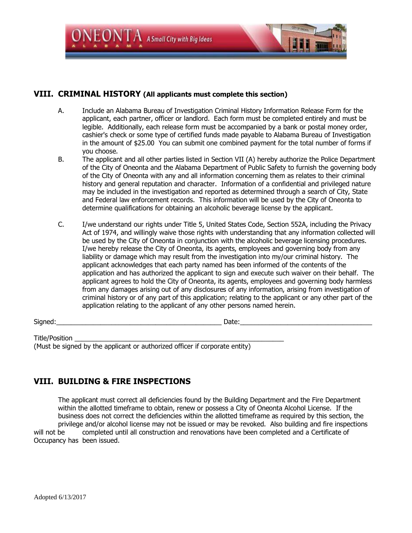

#### **VIII. CRIMINAL HISTORY (All applicants must complete this section)**

- A. Include an Alabama Bureau of Investigation Criminal History Information Release Form for the applicant, each partner, officer or landlord. Each form must be completed entirely and must be legible. Additionally, each release form must be accompanied by a bank or postal money order, cashier's check or some type of certified funds made payable to Alabama Bureau of Investigation in the amount of \$25.00 You can submit one combined payment for the total number of forms if you choose.
- B. The applicant and all other parties listed in Section VII (A) hereby authorize the Police Department of the City of Oneonta and the Alabama Department of Public Safety to furnish the governing body of the City of Oneonta with any and all information concerning them as relates to their criminal history and general reputation and character. Information of a confidential and privileged nature may be included in the investigation and reported as determined through a search of City, State and Federal law enforcement records. This information will be used by the City of Oneonta to determine qualifications for obtaining an alcoholic beverage license by the applicant.
- C. I/we understand our rights under Title 5, United States Code, Section 552A, including the Privacy Act of 1974, and willingly waive those rights with understanding that any information collected will be used by the City of Oneonta in conjunction with the alcoholic beverage licensing procedures. I/we hereby release the City of Oneonta, its agents, employees and governing body from any liability or damage which may result from the investigation into my/our criminal history. The applicant acknowledges that each party named has been informed of the contents of the application and has authorized the applicant to sign and execute such waiver on their behalf. The applicant agrees to hold the City of Oneonta, its agents, employees and governing body harmless from any damages arising out of any disclosures of any information, arising from investigation of criminal history or of any part of this application; relating to the applicant or any other part of the application relating to the applicant of any other persons named herein.

Signed:\_\_\_\_\_\_\_\_\_\_\_\_\_\_\_\_\_\_\_\_\_\_\_\_\_\_\_\_\_\_\_\_\_\_\_\_\_\_\_\_\_\_\_\_\_ Date:\_\_\_\_\_\_\_\_\_\_\_\_\_\_\_\_\_\_\_\_\_\_\_\_\_\_\_\_\_\_\_\_\_\_\_\_

Title/Position

(Must be signed by the applicant or authorized officer if corporate entity)

### **VIII. BUILDING & FIRE INSPECTIONS**

The applicant must correct all deficiencies found by the Building Department and the Fire Department within the allotted timeframe to obtain, renew or possess a City of Oneonta Alcohol License. If the business does not correct the deficiencies within the allotted timeframe as required by this section, the privilege and/or alcohol license may not be issued or may be revoked. Also building and fire inspections will not be completed until all construction and renovations have been completed and a Certificate of Occupancy has been issued.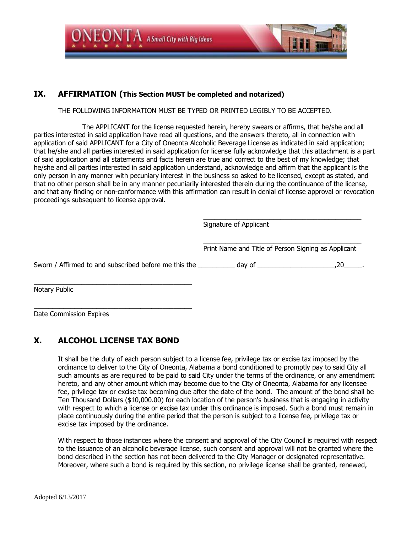

#### **IX. AFFIRMATION (This Section MUST be completed and notarized)**

#### THE FOLLOWING INFORMATION MUST BE TYPED OR PRINTED LEGIBLY TO BE ACCEPTED.

The APPLICANT for the license requested herein, hereby swears or affirms, that he/she and all parties interested in said application have read all questions, and the answers thereto, all in connection with application of said APPLICANT for a City of Oneonta Alcoholic Beverage License as indicated in said application; that he/she and all parties interested in said application for license fully acknowledge that this attachment is a part of said application and all statements and facts herein are true and correct to the best of my knowledge; that he/she and all parties interested in said application understand, acknowledge and affirm that the applicant is the only person in any manner with pecuniary interest in the business so asked to be licensed, except as stated, and that no other person shall be in any manner pecuniarily interested therein during the continuance of the license, and that any finding or non-conformance with this affirmation can result in denial of license approval or revocation proceedings subsequent to license approval.

|                                                                     | Signature of Applicant                              |     |
|---------------------------------------------------------------------|-----------------------------------------------------|-----|
|                                                                     | Print Name and Title of Person Signing as Applicant |     |
| Sworn / Affirmed to and subscribed before me this the day of day of |                                                     | .20 |
| Notary Public                                                       |                                                     |     |

\_\_\_\_\_\_\_\_\_\_\_\_\_\_\_\_\_\_\_\_\_\_\_\_\_\_\_\_\_\_\_\_\_\_\_\_\_\_\_\_\_\_\_ Date Commission Expires

### **X. ALCOHOL LICENSE TAX BOND**

It shall be the duty of each person subject to a license fee, privilege tax or excise tax imposed by the ordinance to deliver to the City of Oneonta, Alabama a bond conditioned to promptly pay to said City all such amounts as are required to be paid to said City under the terms of the ordinance, or any amendment hereto, and any other amount which may become due to the City of Oneonta, Alabama for any licensee fee, privilege tax or excise tax becoming due after the date of the bond. The amount of the bond shall be Ten Thousand Dollars (\$10,000.00) for each location of the person's business that is engaging in activity with respect to which a license or excise tax under this ordinance is imposed. Such a bond must remain in place continuously during the entire period that the person is subject to a license fee, privilege tax or excise tax imposed by the ordinance.

With respect to those instances where the consent and approval of the City Council is required with respect to the issuance of an alcoholic beverage license, such consent and approval will not be granted where the bond described in the section has not been delivered to the City Manager or designated representative. Moreover, where such a bond is required by this section, no privilege license shall be granted, renewed,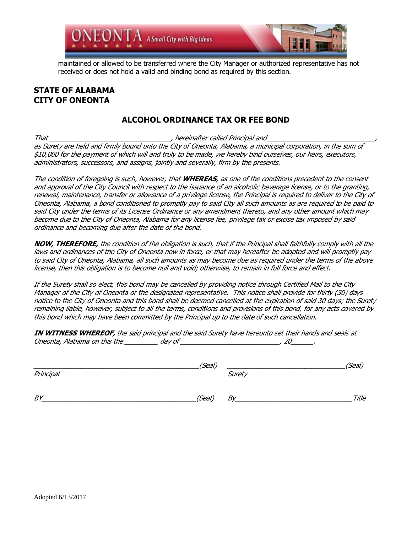

maintained or allowed to be transferred where the City Manager or authorized representative has not received or does not hold a valid and binding bond as required by this section.

#### **STATE OF ALABAMA CITY OF ONEONTA**

### **ALCOHOL ORDINANCE TAX OR FEE BOND**

That \_\_\_\_\_\_\_\_\_\_\_\_\_\_\_\_\_\_\_\_\_\_\_\_\_\_\_\_\_\_\_\_\_, hereinafter called Principal and \_\_\_\_\_\_\_\_\_\_\_\_\_\_\_\_\_\_\_\_\_\_\_\_\_\_\_\_\_, as Surety are held and firmly bound unto the City of Oneonta, Alabama, a municipal corporation, in the sum of \$10,000 for the payment of which will and truly to be made, we hereby bind ourselves, our heirs, executors, administrators, successors, and assigns, jointly and severally, firm by the presents.

The condition of foregoing is such, however, that **WHEREAS,** as one of the conditions precedent to the consent and approval of the City Council with respect to the issuance of an alcoholic beverage license, or to the granting, renewal, maintenance, transfer or allowance of a privilege license, the Principal is required to deliver to the City of Oneonta, Alabama, a bond conditioned to promptly pay to said City all such amounts as are required to be paid to said City under the terms of its License Ordinance or any amendment thereto, and any other amount which may become due to the City of Oneonta, Alabama for any license fee, privilege tax or excise tax imposed by said ordinance and becoming due after the date of the bond.

**NOW, THEREFORE,** the condition of the obligation is such, that if the Principal shall faithfully comply with all the laws and ordinances of the City of Oneonta now in force, or that may hereafter be adopted and will promptly pay to said City of Oneonta, Alabama, all such amounts as may become due as required under the terms of the above license, then this obligation is to become null and void; otherwise, to remain in full force and effect.

If the Surety shall so elect, this bond may be cancelled by providing notice through Certified Mail to the City Manager of the City of Oneonta or the designated representative. This notice shall provide for thirty (30) days notice to the City of Oneonta and this bond shall be deemed cancelled at the expiration of said 30 days; the Surety remaining liable, however, subject to all the terms, conditions and provisions of this bond, for any acts covered by this bond which may have been committed by the Principal up to the date of such cancellation.

**IN WITNESS WHEREOF,** the said principal and the said Surety have hereunto set their hands and seals at Oneonta, Alabama on this the \_\_\_\_\_\_\_\_\_ day of \_\_\_\_\_\_\_\_\_\_\_\_\_\_\_\_\_\_\_\_\_\_\_\_\_\_\_, 20\_\_\_\_\_\_.

| Principal | (Seal) | Surety | (Seal) |
|-----------|--------|--------|--------|
| BY        | (Seal) | By     | Title  |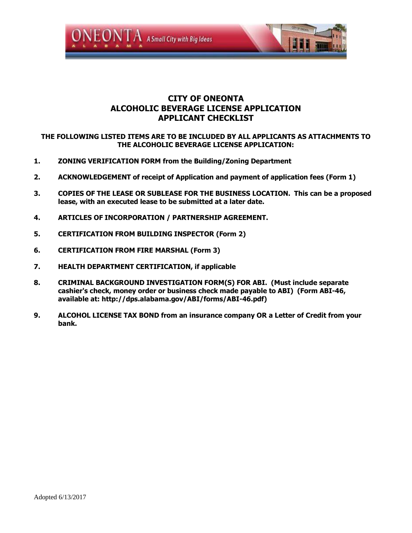

#### **CITY OF ONEONTA ALCOHOLIC BEVERAGE LICENSE APPLICATION APPLICANT CHECKLIST**

#### **THE FOLLOWING LISTED ITEMS ARE TO BE INCLUDED BY ALL APPLICANTS AS ATTACHMENTS TO THE ALCOHOLIC BEVERAGE LICENSE APPLICATION:**

- **1. ZONING VERIFICATION FORM from the Building/Zoning Department**
- **2. ACKNOWLEDGEMENT of receipt of Application and payment of application fees (Form 1)**
- **3. COPIES OF THE LEASE OR SUBLEASE FOR THE BUSINESS LOCATION. This can be a proposed lease, with an executed lease to be submitted at a later date.**
- **4. ARTICLES OF INCORPORATION / PARTNERSHIP AGREEMENT.**
- **5. CERTIFICATION FROM BUILDING INSPECTOR (Form 2)**
- **6. CERTIFICATION FROM FIRE MARSHAL (Form 3)**
- **7. HEALTH DEPARTMENT CERTIFICATION, if applicable**
- **8. CRIMINAL BACKGROUND INVESTIGATION FORM(S) FOR ABI. (Must include separate cashier's check, money order or business check made payable to ABI) (Form ABI-46, available at: http://dps.alabama.gov/ABI/forms/ABI-46.pdf)**
- **9. ALCOHOL LICENSE TAX BOND from an insurance company OR a Letter of Credit from your bank.**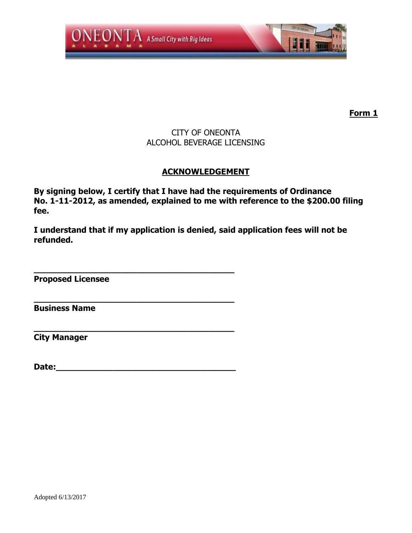

## CITY OF ONEONTA ALCOHOL BEVERAGE LICENSING

## **ACKNOWLEDGEMENT**

**By signing below, I certify that I have had the requirements of Ordinance No. 1-11-2012, as amended, explained to me with reference to the \$200.00 filing fee.**

**I understand that if my application is denied, said application fees will not be refunded.**

**Proposed Licensee**

**Business Name**

**City Manager**

**Date:** 

**\_\_\_\_\_\_\_\_\_\_\_\_\_\_\_\_\_\_\_\_\_\_\_\_\_\_\_\_\_\_\_\_\_\_\_\_\_\_\_**

**\_\_\_\_\_\_\_\_\_\_\_\_\_\_\_\_\_\_\_\_\_\_\_\_\_\_\_\_\_\_\_\_\_\_\_\_\_\_\_**

**\_\_\_\_\_\_\_\_\_\_\_\_\_\_\_\_\_\_\_\_\_\_\_\_\_\_\_\_\_\_\_\_\_\_\_\_\_\_\_**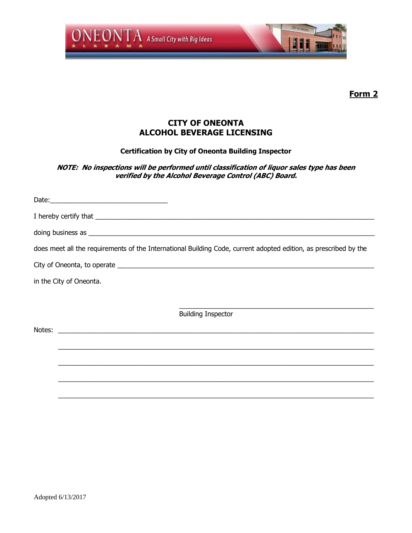

#### **CITY OF ONEONTA ALCOHOL BEVERAGE LICENSING**

#### **Certification by City of Oneonta Building Inspector**

#### **NOTE: No inspections will be performed until classification of liquor sales type has been verified by the Alcohol Beverage Control (ABC) Board.**

| $\text{Date:}\n \begin{picture}(25,20) \put(0,0){\dashbox{0.5}(20,0){ }} \put(15,0){\dashbox{0.5}(20,0){ }} \put(25,0){\dashbox{0.5}(20,0){ }} \put(35,0){\dashbox{0.5}(20,0){ }} \put(45,0){\dashbox{0.5}(20,0){ }} \put(55,0){\dashbox{0.5}(20,0){ }} \put(65,0){\dashbox{0.5}(20,0){ }} \put(65,0){\dashbox{0.5}(20,0){ }} \put(65,0){\dashbox{0.5}(20,0){ }} \put(65$ |                                                                                                                                                                                                                                |
|---------------------------------------------------------------------------------------------------------------------------------------------------------------------------------------------------------------------------------------------------------------------------------------------------------------------------------------------------------------------------|--------------------------------------------------------------------------------------------------------------------------------------------------------------------------------------------------------------------------------|
|                                                                                                                                                                                                                                                                                                                                                                           |                                                                                                                                                                                                                                |
|                                                                                                                                                                                                                                                                                                                                                                           | doing business as experience and the set of the set of the set of the set of the set of the set of the set of the set of the set of the set of the set of the set of the set of the set of the set of the set of the set of th |
|                                                                                                                                                                                                                                                                                                                                                                           | does meet all the requirements of the International Building Code, current adopted edition, as prescribed by the                                                                                                               |
|                                                                                                                                                                                                                                                                                                                                                                           |                                                                                                                                                                                                                                |
| in the City of Oneonta.                                                                                                                                                                                                                                                                                                                                                   |                                                                                                                                                                                                                                |
|                                                                                                                                                                                                                                                                                                                                                                           |                                                                                                                                                                                                                                |
|                                                                                                                                                                                                                                                                                                                                                                           | <b>Building Inspector</b>                                                                                                                                                                                                      |
|                                                                                                                                                                                                                                                                                                                                                                           |                                                                                                                                                                                                                                |
|                                                                                                                                                                                                                                                                                                                                                                           | ,我们也不能会有什么。""我们的人,我们也不能会有什么?""我们的人,我们也不能会有什么?""我们的人,我们也不能会有什么?""我们的人,我们也不能会有什么?""                                                                                                                                              |
|                                                                                                                                                                                                                                                                                                                                                                           |                                                                                                                                                                                                                                |
|                                                                                                                                                                                                                                                                                                                                                                           |                                                                                                                                                                                                                                |
|                                                                                                                                                                                                                                                                                                                                                                           |                                                                                                                                                                                                                                |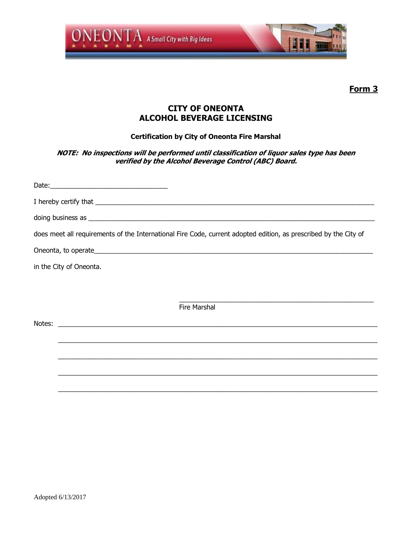

## **CITY OF ONEONTA ALCOHOL BEVERAGE LICENSING**

**Certification by City of Oneonta Fire Marshal**

**NOTE: No inspections will be performed until classification of liquor sales type has been verified by the Alcohol Beverage Control (ABC) Board.**

| doing business as <b>contract to the contract of the contract of the contract of the contract of the contract of the contract of the contract of the contract of the contract of the contract of the contract of the contract of</b> |
|--------------------------------------------------------------------------------------------------------------------------------------------------------------------------------------------------------------------------------------|
| does meet all requirements of the International Fire Code, current adopted edition, as prescribed by the City of                                                                                                                     |
|                                                                                                                                                                                                                                      |
| in the City of Oneonta.                                                                                                                                                                                                              |
|                                                                                                                                                                                                                                      |
| <b>Fire Marshal</b>                                                                                                                                                                                                                  |
| Notes: <u>the contract of the contract of the contract of the contract of the contract of the contract of the contract of the contract of the contract of the contract of the contract of the contract of the contract of the co</u> |
|                                                                                                                                                                                                                                      |
|                                                                                                                                                                                                                                      |
|                                                                                                                                                                                                                                      |
|                                                                                                                                                                                                                                      |